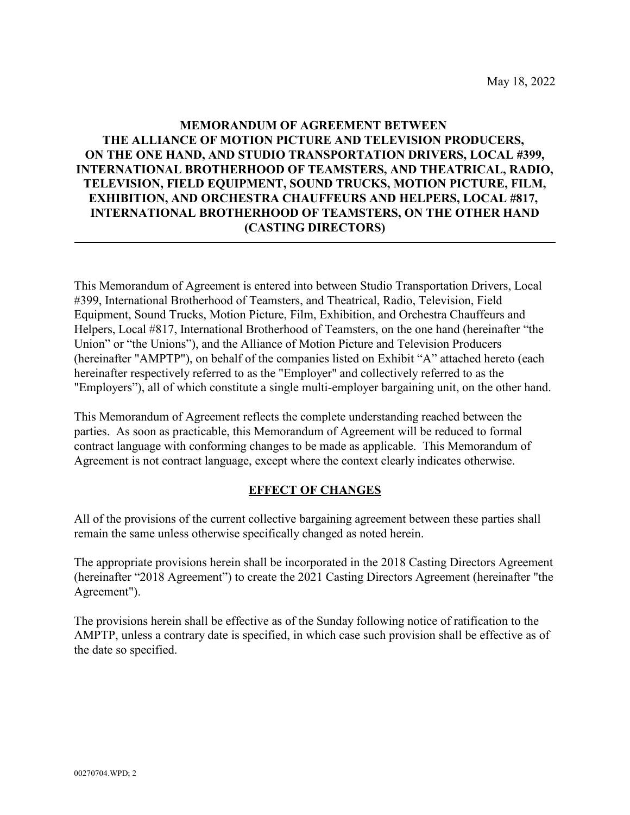May 18, 2022

# **MEMORANDUM OF AGREEMENT BETWEEN THE ALLIANCE OF MOTION PICTURE AND TELEVISION PRODUCERS, ON THE ONE HAND, AND STUDIO TRANSPORTATION DRIVERS, LOCAL #399, INTERNATIONAL BROTHERHOOD OF TEAMSTERS, AND THEATRICAL, RADIO, TELEVISION, FIELD EQUIPMENT, SOUND TRUCKS, MOTION PICTURE, FILM, EXHIBITION, AND ORCHESTRA CHAUFFEURS AND HELPERS, LOCAL #817, INTERNATIONAL BROTHERHOOD OF TEAMSTERS, ON THE OTHER HAND (CASTING DIRECTORS)**

This Memorandum of Agreement is entered into between Studio Transportation Drivers, Local #399, International Brotherhood of Teamsters, and Theatrical, Radio, Television, Field Equipment, Sound Trucks, Motion Picture, Film, Exhibition, and Orchestra Chauffeurs and Helpers, Local #817, International Brotherhood of Teamsters, on the one hand (hereinafter "the Union" or "the Unions"), and the Alliance of Motion Picture and Television Producers (hereinafter "AMPTP"), on behalf of the companies listed on Exhibit "A" attached hereto (each hereinafter respectively referred to as the "Employer" and collectively referred to as the "Employers"), all of which constitute a single multi-employer bargaining unit, on the other hand.

This Memorandum of Agreement reflects the complete understanding reached between the parties. As soon as practicable, this Memorandum of Agreement will be reduced to formal contract language with conforming changes to be made as applicable. This Memorandum of Agreement is not contract language, except where the context clearly indicates otherwise.

#### **EFFECT OF CHANGES**

All of the provisions of the current collective bargaining agreement between these parties shall remain the same unless otherwise specifically changed as noted herein.

The appropriate provisions herein shall be incorporated in the 2018 Casting Directors Agreement (hereinafter "2018 Agreement") to create the 2021 Casting Directors Agreement (hereinafter "the Agreement").

The provisions herein shall be effective as of the Sunday following notice of ratification to the AMPTP, unless a contrary date is specified, in which case such provision shall be effective as of the date so specified.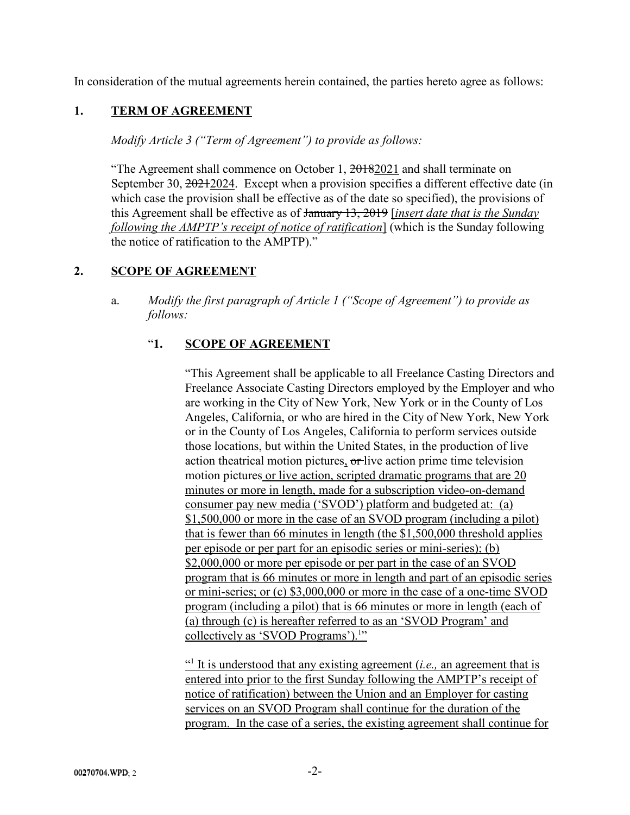In consideration of the mutual agreements herein contained, the parties hereto agree as follows:

## **1. TERM OF AGREEMENT**

*Modify Article 3 ("Term of Agreement") to provide as follows:*

"The Agreement shall commence on October 1,  $20182021$  and shall terminate on September 30, 20212024. Except when a provision specifies a different effective date (in which case the provision shall be effective as of the date so specified), the provisions of this Agreement shall be effective as of January 13, 2019 [*insert date that is the Sunday following the AMPTP's receipt of notice of ratification*] (which is the Sunday following the notice of ratification to the AMPTP)."

### **2. SCOPE OF AGREEMENT**

a. *Modify the first paragraph of Article 1 ("Scope of Agreement") to provide as follows:* 

# "**1. SCOPE OF AGREEMENT**

"This Agreement shall be applicable to all Freelance Casting Directors and Freelance Associate Casting Directors employed by the Employer and who are working in the City of New York, New York or in the County of Los Angeles, California, or who are hired in the City of New York, New York or in the County of Los Angeles, California to perform services outside those locations, but within the United States, in the production of live action theatrical motion pictures, or live action prime time television motion pictures or live action, scripted dramatic programs that are 20 minutes or more in length, made for a subscription video-on-demand consumer pay new media ('SVOD') platform and budgeted at: (a) \$1,500,000 or more in the case of an SVOD program (including a pilot) that is fewer than 66 minutes in length (the \$1,500,000 threshold applies per episode or per part for an episodic series or mini-series); (b) \$2,000,000 or more per episode or per part in the case of an SVOD program that is 66 minutes or more in length and part of an episodic series or mini-series; or (c) \$3,000,000 or more in the case of a one-time SVOD program (including a pilot) that is 66 minutes or more in length (each of (a) through (c) is hereafter referred to as an 'SVOD Program' and collectively as 'SVOD Programs').<sup>1</sup>"

<sup>(1</sup>) It is understood that any existing agreement (*i.e.*, an agreement that is entered into prior to the first Sunday following the AMPTP's receipt of notice of ratification) between the Union and an Employer for casting services on an SVOD Program shall continue for the duration of the program. In the case of a series, the existing agreement shall continue for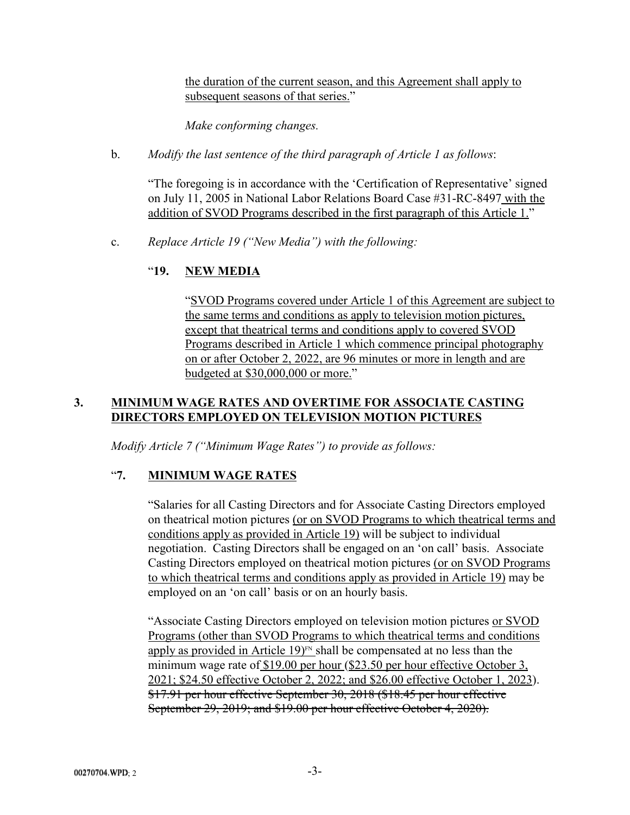the duration of the current season, and this Agreement shall apply to subsequent seasons of that series."

*Make conforming changes.*

b. *Modify the last sentence of the third paragraph of Article 1 as follows*:

"The foregoing is in accordance with the 'Certification of Representative' signed on July 11, 2005 in National Labor Relations Board Case #31-RC-8497 with the addition of SVOD Programs described in the first paragraph of this Article 1."

c. *Replace Article 19 ("New Media") with the following:* 

# "**19. NEW MEDIA**

"SVOD Programs covered under Article 1 of this Agreement are subject to the same terms and conditions as apply to television motion pictures, except that theatrical terms and conditions apply to covered SVOD Programs described in Article 1 which commence principal photography on or after October 2, 2022, are 96 minutes or more in length and are budgeted at \$30,000,000 or more."

# **3. MINIMUM WAGE RATES AND OVERTIME FOR ASSOCIATE CASTING DIRECTORS EMPLOYED ON TELEVISION MOTION PICTURES**

*Modify Article 7 ("Minimum Wage Rates") to provide as follows:*

### "**7. MINIMUM WAGE RATES**

"Salaries for all Casting Directors and for Associate Casting Directors employed on theatrical motion pictures (or on SVOD Programs to which theatrical terms and conditions apply as provided in Article 19) will be subject to individual negotiation. Casting Directors shall be engaged on an 'on call' basis. Associate Casting Directors employed on theatrical motion pictures (or on SVOD Programs to which theatrical terms and conditions apply as provided in Article 19) may be employed on an 'on call' basis or on an hourly basis.

"Associate Casting Directors employed on television motion pictures or SVOD Programs (other than SVOD Programs to which theatrical terms and conditions apply as provided in Article 19 $F_N$  shall be compensated at no less than the minimum wage rate of \$19.00 per hour (\$23.50 per hour effective October 3, 2021; \$24.50 effective October 2, 2022; and \$26.00 effective October 1, 2023). \$17.91 per hour effective September 30, 2018 (\$18.45 per hour effective September 29, 2019; and \$19.00 per hour effective October 4, 2020).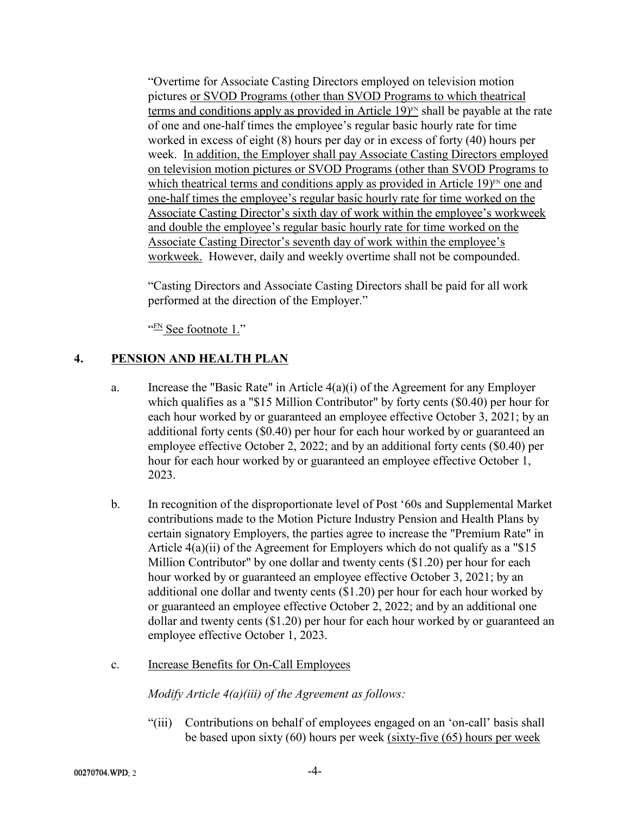"Overtime for Associate Casting Directors employed on television motion pictures or SVOD Programs (other than SVOD Programs to which theatrical terms and conditions apply as provided in Article 19 $F<sub>N</sub>$  shall be payable at the rate of one and one-half times the employee's regular basic hourly rate for time worked in excess of eight (8) hours per day or in excess of forty (40) hours per week. In addition, the Employer shall pay Associate Casting Directors employed on television motion pictures or SVOD Programs (other than SVOD Programs to which theatrical terms and conditions apply as provided in Article 19 $F_N$  one and one-half times the employee's regular basic hourly rate for time worked on the Associate Casting Director's sixth day of work within the employee's workweek and double the employee's regular basic hourly rate for time worked on the Associate Casting Director's seventh day of work within the employee's workweek. However, daily and weekly overtime shall not be compounded.

"Casting Directors and Associate Casting Directors shall be paid for all work performed at the direction of the Employer."

 $\frac{F}{F}$  See footnote 1."

# **4. PENSION AND HEALTH PLAN**

- a. Increase the "Basic Rate" in Article 4(a)(i) of the Agreement for any Employer which qualifies as a "\$15 Million Contributor" by forty cents (\$0.40) per hour for each hour worked by or guaranteed an employee effective October 3, 2021; by an additional forty cents (\$0.40) per hour for each hour worked by or guaranteed an employee effective October 2, 2022; and by an additional forty cents (\$0.40) per hour for each hour worked by or guaranteed an employee effective October 1, 2023.
- b. In recognition of the disproportionate level of Post '60s and Supplemental Market contributions made to the Motion Picture Industry Pension and Health Plans by certain signatory Employers, the parties agree to increase the "Premium Rate" in Article  $4(a)(ii)$  of the Agreement for Employers which do not qualify as a "\$15" Million Contributor" by one dollar and twenty cents (\$1.20) per hour for each hour worked by or guaranteed an employee effective October 3, 2021; by an additional one dollar and twenty cents (\$1.20) per hour for each hour worked by or guaranteed an employee effective October 2, 2022; and by an additional one dollar and twenty cents (\$1.20) per hour for each hour worked by or guaranteed an employee effective October 1, 2023.
- c. Increase Benefits for On-Call Employees

*Modify Article 4(a)(iii) of the Agreement as follows:*

"(iii) Contributions on behalf of employees engaged on an 'on-call' basis shall be based upon sixty (60) hours per week (sixty-five (65) hours per week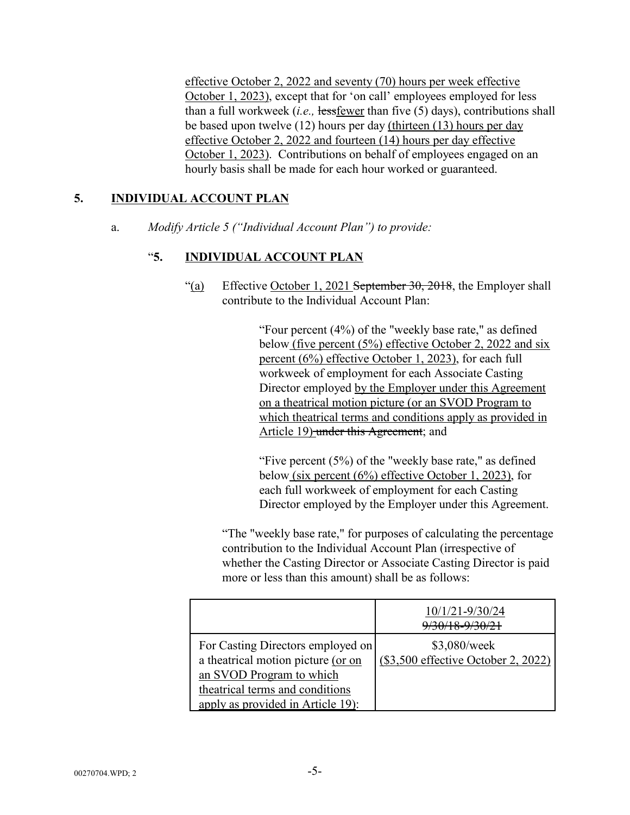effective October 2, 2022 and seventy (70) hours per week effective October 1, 2023), except that for 'on call' employees employed for less than a full workweek *(i.e.*, lessfewer than five (5) days), contributions shall be based upon twelve (12) hours per day (thirteen (13) hours per day effective October 2, 2022 and fourteen (14) hours per day effective October 1, 2023). Contributions on behalf of employees engaged on an hourly basis shall be made for each hour worked or guaranteed.

# **5. INDIVIDUAL ACCOUNT PLAN**

a. *Modify Article 5 ("Individual Account Plan") to provide:*

# "**5. INDIVIDUAL ACCOUNT PLAN**

" $(a)$  Effective October 1, 2021 September 30, 2018, the Employer shall contribute to the Individual Account Plan:

> "Four percent (4%) of the "weekly base rate," as defined below (five percent (5%) effective October 2, 2022 and six percent (6%) effective October 1, 2023), for each full workweek of employment for each Associate Casting Director employed by the Employer under this Agreement on a theatrical motion picture (or an SVOD Program to which theatrical terms and conditions apply as provided in Article 19) under this Agreement; and

> "Five percent  $(5\%)$  of the "weekly base rate," as defined below (six percent (6%) effective October 1, 2023), for each full workweek of employment for each Casting Director employed by the Employer under this Agreement.

"The "weekly base rate," for purposes of calculating the percentage contribution to the Individual Account Plan (irrespective of whether the Casting Director or Associate Casting Director is paid more or less than this amount) shall be as follows:

|                                                                                                                                                                             | 10/1/21-9/30/24<br><del>/30/18-9/30/2</del>           |
|-----------------------------------------------------------------------------------------------------------------------------------------------------------------------------|-------------------------------------------------------|
| For Casting Directors employed on<br>a theatrical motion picture (or on<br>an SVOD Program to which<br>theatrical terms and conditions<br>apply as provided in Article 19): | $$3,080$ /week<br>(\$3,500 effective October 2, 2022) |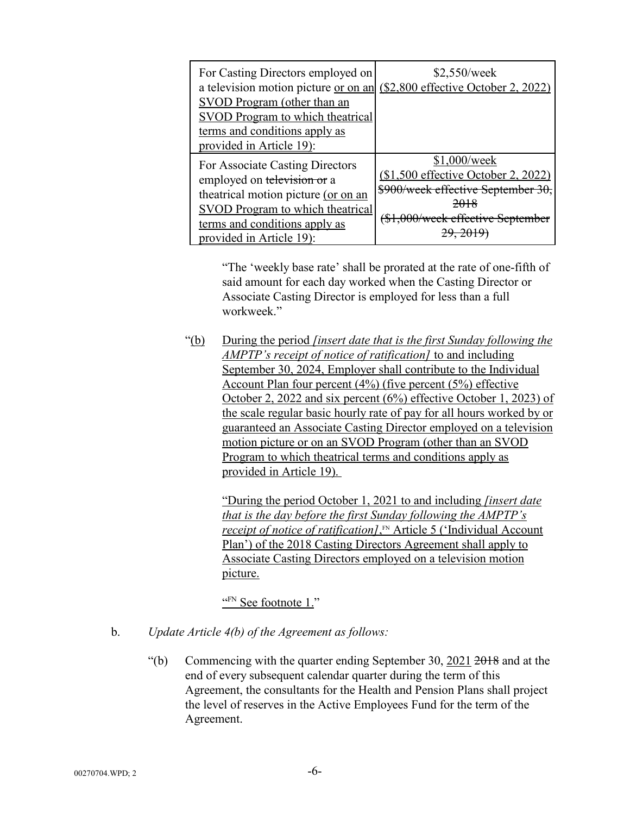| For Casting Directors employed on                                                                                                                                                                      | $$2,550$ /week                                                                                                                                                |
|--------------------------------------------------------------------------------------------------------------------------------------------------------------------------------------------------------|---------------------------------------------------------------------------------------------------------------------------------------------------------------|
| a television motion picture or on an<br>SVOD Program (other than an                                                                                                                                    | (\$2,800 effective October 2, 2022)                                                                                                                           |
| <b>SVOD</b> Program to which theatrical                                                                                                                                                                |                                                                                                                                                               |
| terms and conditions apply as                                                                                                                                                                          |                                                                                                                                                               |
| provided in Article 19):                                                                                                                                                                               |                                                                                                                                                               |
| For Associate Casting Directors<br>employed on television or a<br>theatrical motion picture (or on an<br>SVOD Program to which theatrical<br>terms and conditions apply as<br>provided in Article 19): | \$1,000/week<br>$$1,500$ effective October 2, 2022)<br>\$900/week effective September 30.<br><del>2018</del><br>(\$1,000/week effective September<br>29, 2019 |

"The 'weekly base rate' shall be prorated at the rate of one-fifth of said amount for each day worked when the Casting Director or Associate Casting Director is employed for less than a full workweek."

"(b) During the period *[insert date that is the first Sunday following the AMPTP's receipt of notice of ratification]* to and including September 30, 2024, Employer shall contribute to the Individual Account Plan four percent (4%) (five percent (5%) effective October 2, 2022 and six percent (6%) effective October 1, 2023) of the scale regular basic hourly rate of pay for all hours worked by or guaranteed an Associate Casting Director employed on a television motion picture or on an SVOD Program (other than an SVOD Program to which theatrical terms and conditions apply as provided in Article 19).

"During the period October 1, 2021 to and including *[insert date that is the day before the first Sunday following the AMPTP's receipt of notice of ratification]*, FN Article 5 ('Individual Account Plan') of the 2018 Casting Directors Agreement shall apply to Associate Casting Directors employed on a television motion picture.

"<sup>FN</sup> See footnote 1."

- b. *Update Article 4(b) of the Agreement as follows:*
	- $\degree$ (b) Commencing with the quarter ending September 30, 2021 <del>2018</del> and at the end of every subsequent calendar quarter during the term of this Agreement, the consultants for the Health and Pension Plans shall project the level of reserves in the Active Employees Fund for the term of the Agreement.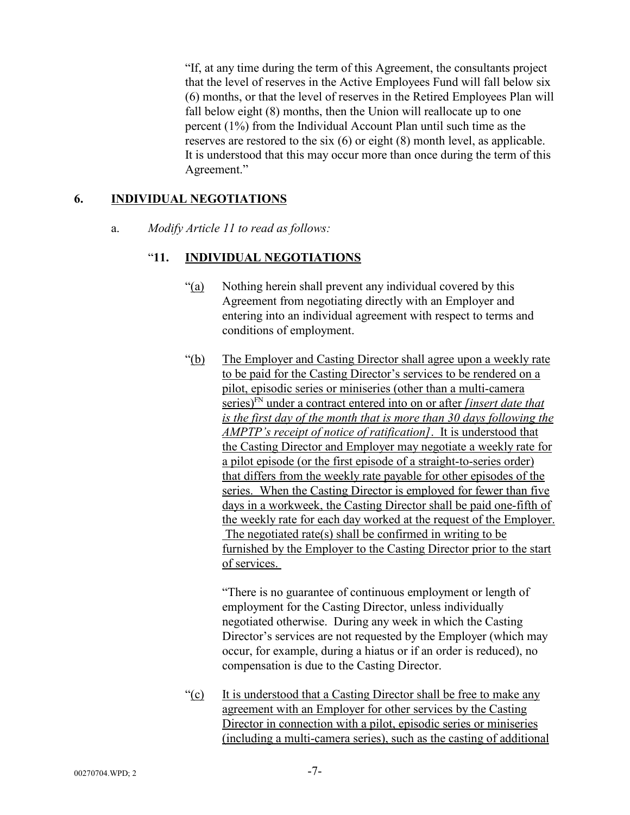"If, at any time during the term of this Agreement, the consultants project that the level of reserves in the Active Employees Fund will fall below six (6) months, or that the level of reserves in the Retired Employees Plan will fall below eight (8) months, then the Union will reallocate up to one percent (1%) from the Individual Account Plan until such time as the reserves are restored to the six (6) or eight (8) month level, as applicable. It is understood that this may occur more than once during the term of this Agreement."

#### **6. INDIVIDUAL NEGOTIATIONS**

a. *Modify Article 11 to read as follows:*

#### "**11. INDIVIDUAL NEGOTIATIONS**

- "(a) Nothing herein shall prevent any individual covered by this Agreement from negotiating directly with an Employer and entering into an individual agreement with respect to terms and conditions of employment.
- "(b) The Employer and Casting Director shall agree upon a weekly rate to be paid for the Casting Director's services to be rendered on a pilot, episodic series or miniseries (other than a multi-camera series)FN under a contract entered into on or after *[insert date that is the first day of the month that is more than 30 days following the AMPTP's receipt of notice of ratification]*. It is understood that the Casting Director and Employer may negotiate a weekly rate for a pilot episode (or the first episode of a straight-to-series order) that differs from the weekly rate payable for other episodes of the series. When the Casting Director is employed for fewer than five days in a workweek, the Casting Director shall be paid one-fifth of the weekly rate for each day worked at the request of the Employer. The negotiated rate(s) shall be confirmed in writing to be furnished by the Employer to the Casting Director prior to the start of services.

"There is no guarantee of continuous employment or length of employment for the Casting Director, unless individually negotiated otherwise. During any week in which the Casting Director's services are not requested by the Employer (which may occur, for example, during a hiatus or if an order is reduced), no compensation is due to the Casting Director.

"(c) It is understood that a Casting Director shall be free to make any agreement with an Employer for other services by the Casting Director in connection with a pilot, episodic series or miniseries (including a multi-camera series), such as the casting of additional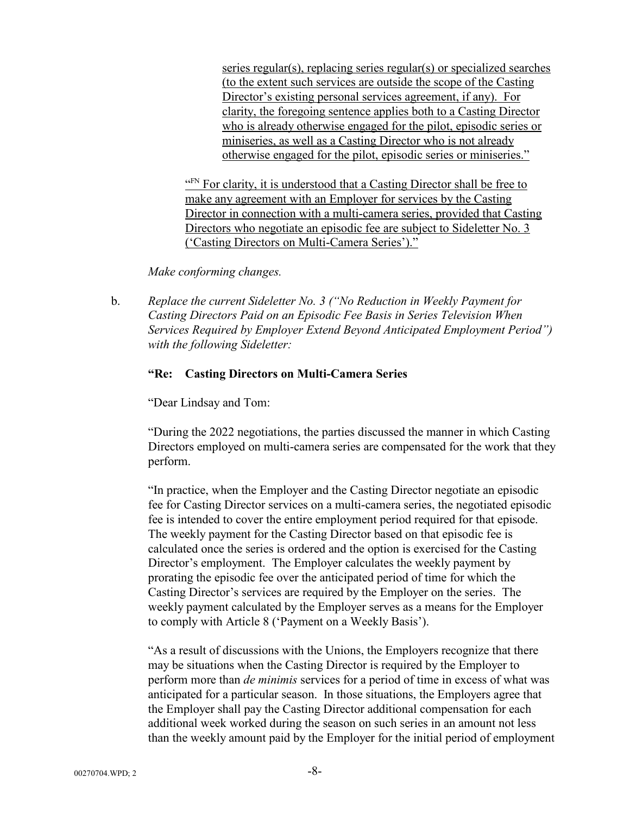series regular(s), replacing series regular(s) or specialized searches (to the extent such services are outside the scope of the Casting Director's existing personal services agreement, if any). For clarity, the foregoing sentence applies both to a Casting Director who is already otherwise engaged for the pilot, episodic series or miniseries, as well as a Casting Director who is not already otherwise engaged for the pilot, episodic series or miniseries."

"FN For clarity, it is understood that a Casting Director shall be free to make any agreement with an Employer for services by the Casting Director in connection with a multi-camera series, provided that Casting Directors who negotiate an episodic fee are subject to Sideletter No. 3 ('Casting Directors on Multi-Camera Series')."

*Make conforming changes.*

b. *Replace the current Sideletter No. 3 ("No Reduction in Weekly Payment for Casting Directors Paid on an Episodic Fee Basis in Series Television When Services Required by Employer Extend Beyond Anticipated Employment Period") with the following Sideletter:*

#### **"Re: Casting Directors on Multi-Camera Series**

"Dear Lindsay and Tom:

"During the 2022 negotiations, the parties discussed the manner in which Casting Directors employed on multi-camera series are compensated for the work that they perform.

"In practice, when the Employer and the Casting Director negotiate an episodic fee for Casting Director services on a multi-camera series, the negotiated episodic fee is intended to cover the entire employment period required for that episode. The weekly payment for the Casting Director based on that episodic fee is calculated once the series is ordered and the option is exercised for the Casting Director's employment. The Employer calculates the weekly payment by prorating the episodic fee over the anticipated period of time for which the Casting Director's services are required by the Employer on the series. The weekly payment calculated by the Employer serves as a means for the Employer to comply with Article 8 ('Payment on a Weekly Basis').

"As a result of discussions with the Unions, the Employers recognize that there may be situations when the Casting Director is required by the Employer to perform more than *de minimis* services for a period of time in excess of what was anticipated for a particular season. In those situations, the Employers agree that the Employer shall pay the Casting Director additional compensation for each additional week worked during the season on such series in an amount not less than the weekly amount paid by the Employer for the initial period of employment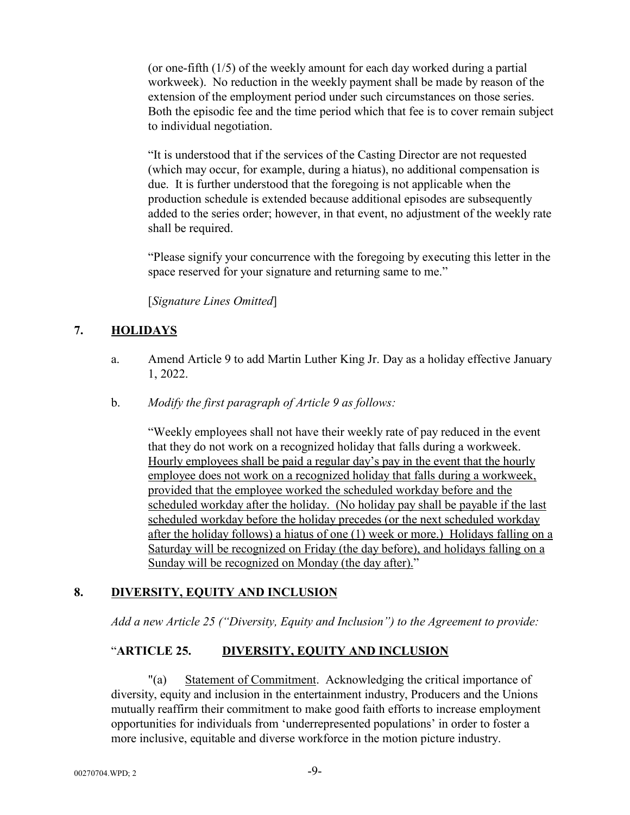(or one-fifth (1/5) of the weekly amount for each day worked during a partial workweek). No reduction in the weekly payment shall be made by reason of the extension of the employment period under such circumstances on those series. Both the episodic fee and the time period which that fee is to cover remain subject to individual negotiation.

"It is understood that if the services of the Casting Director are not requested (which may occur, for example, during a hiatus), no additional compensation is due. It is further understood that the foregoing is not applicable when the production schedule is extended because additional episodes are subsequently added to the series order; however, in that event, no adjustment of the weekly rate shall be required.

"Please signify your concurrence with the foregoing by executing this letter in the space reserved for your signature and returning same to me."

[*Signature Lines Omitted*]

# **7. HOLIDAYS**

- a. Amend Article 9 to add Martin Luther King Jr. Day as a holiday effective January 1, 2022.
- b. *Modify the first paragraph of Article 9 as follows:*

"Weekly employees shall not have their weekly rate of pay reduced in the event that they do not work on a recognized holiday that falls during a workweek. Hourly employees shall be paid a regular day's pay in the event that the hourly employee does not work on a recognized holiday that falls during a workweek, provided that the employee worked the scheduled workday before and the scheduled workday after the holiday. (No holiday pay shall be payable if the last scheduled workday before the holiday precedes (or the next scheduled workday after the holiday follows) a hiatus of one (1) week or more.) Holidays falling on a Saturday will be recognized on Friday (the day before), and holidays falling on a Sunday will be recognized on Monday (the day after)."

### **8. DIVERSITY, EQUITY AND INCLUSION**

*Add a new Article 25 ("Diversity, Equity and Inclusion") to the Agreement to provide:* 

# "**ARTICLE 25. DIVERSITY, EQUITY AND INCLUSION**

"(a) Statement of Commitment. Acknowledging the critical importance of diversity, equity and inclusion in the entertainment industry, Producers and the Unions mutually reaffirm their commitment to make good faith efforts to increase employment opportunities for individuals from 'underrepresented populations' in order to foster a more inclusive, equitable and diverse workforce in the motion picture industry.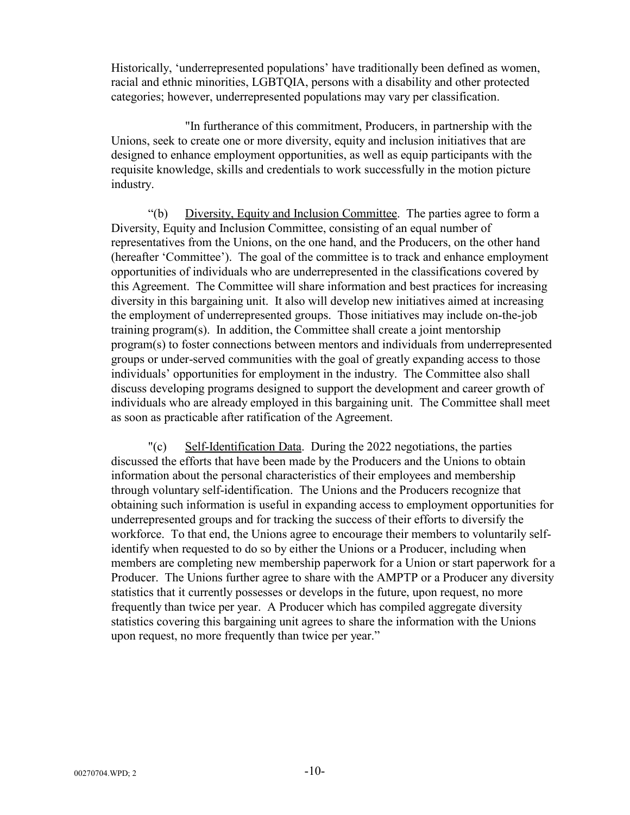Historically, 'underrepresented populations' have traditionally been defined as women, racial and ethnic minorities, LGBTQIA, persons with a disability and other protected categories; however, underrepresented populations may vary per classification.

"In furtherance of this commitment, Producers, in partnership with the Unions, seek to create one or more diversity, equity and inclusion initiatives that are designed to enhance employment opportunities, as well as equip participants with the requisite knowledge, skills and credentials to work successfully in the motion picture industry.

"(b) Diversity, Equity and Inclusion Committee. The parties agree to form a Diversity, Equity and Inclusion Committee, consisting of an equal number of representatives from the Unions, on the one hand, and the Producers, on the other hand (hereafter 'Committee'). The goal of the committee is to track and enhance employment opportunities of individuals who are underrepresented in the classifications covered by this Agreement. The Committee will share information and best practices for increasing diversity in this bargaining unit. It also will develop new initiatives aimed at increasing the employment of underrepresented groups. Those initiatives may include on-the-job training program(s). In addition, the Committee shall create a joint mentorship program(s) to foster connections between mentors and individuals from underrepresented groups or under-served communities with the goal of greatly expanding access to those individuals' opportunities for employment in the industry. The Committee also shall discuss developing programs designed to support the development and career growth of individuals who are already employed in this bargaining unit. The Committee shall meet as soon as practicable after ratification of the Agreement.

"(c) Self-Identification Data. During the 2022 negotiations, the parties discussed the efforts that have been made by the Producers and the Unions to obtain information about the personal characteristics of their employees and membership through voluntary self-identification. The Unions and the Producers recognize that obtaining such information is useful in expanding access to employment opportunities for underrepresented groups and for tracking the success of their efforts to diversify the workforce. To that end, the Unions agree to encourage their members to voluntarily selfidentify when requested to do so by either the Unions or a Producer, including when members are completing new membership paperwork for a Union or start paperwork for a Producer. The Unions further agree to share with the AMPTP or a Producer any diversity statistics that it currently possesses or develops in the future, upon request, no more frequently than twice per year. A Producer which has compiled aggregate diversity statistics covering this bargaining unit agrees to share the information with the Unions upon request, no more frequently than twice per year."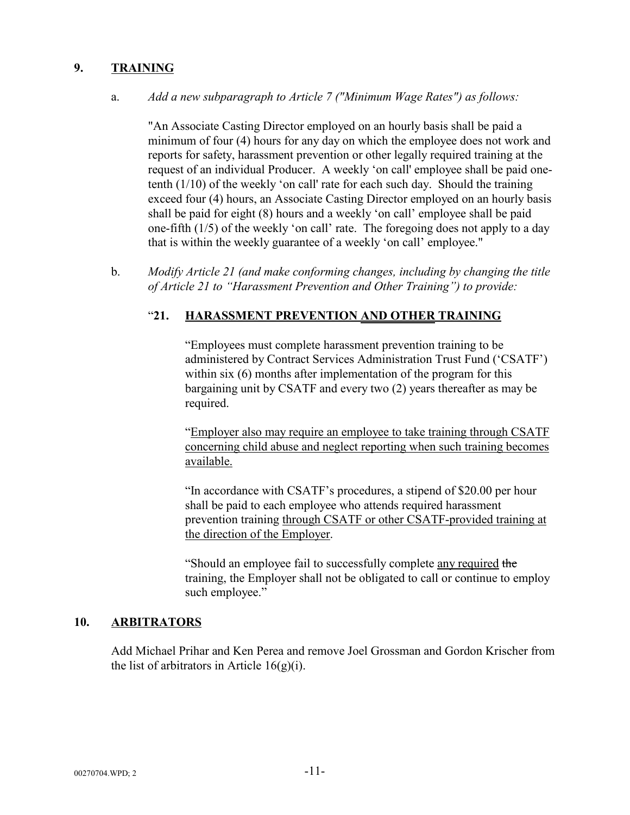# **9. TRAINING**

a. *Add a new subparagraph to Article 7 ("Minimum Wage Rates") as follows:*

"An Associate Casting Director employed on an hourly basis shall be paid a minimum of four (4) hours for any day on which the employee does not work and reports for safety, harassment prevention or other legally required training at the request of an individual Producer. A weekly 'on call' employee shall be paid onetenth (1/10) of the weekly 'on call' rate for each such day. Should the training exceed four (4) hours, an Associate Casting Director employed on an hourly basis shall be paid for eight (8) hours and a weekly 'on call' employee shall be paid one-fifth (1/5) of the weekly 'on call' rate. The foregoing does not apply to a day that is within the weekly guarantee of a weekly 'on call' employee."

b. *Modify Article 21 (and make conforming changes, including by changing the title of Article 21 to "Harassment Prevention and Other Training") to provide:*

### "**21. HARASSMENT PREVENTION AND OTHER TRAINING**

"Employees must complete harassment prevention training to be administered by Contract Services Administration Trust Fund ('CSATF') within six (6) months after implementation of the program for this bargaining unit by CSATF and every two (2) years thereafter as may be required.

"Employer also may require an employee to take training through CSATF concerning child abuse and neglect reporting when such training becomes available.

"In accordance with CSATF's procedures, a stipend of \$20.00 per hour shall be paid to each employee who attends required harassment prevention training through CSATF or other CSATF-provided training at the direction of the Employer.

"Should an employee fail to successfully complete any required the training, the Employer shall not be obligated to call or continue to employ such employee."

#### **10. ARBITRATORS**

Add Michael Prihar and Ken Perea and remove Joel Grossman and Gordon Krischer from the list of arbitrators in Article  $16(g)(i)$ .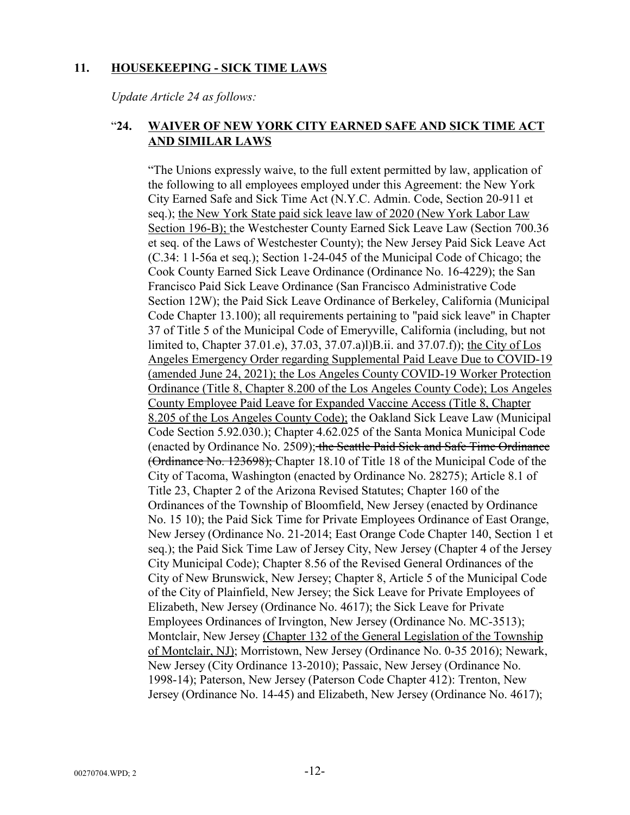#### **11. HOUSEKEEPING - SICK TIME LAWS**

*Update Article 24 as follows:*

#### "**24. WAIVER OF NEW YORK CITY EARNED SAFE AND SICK TIME ACT AND SIMILAR LAWS**

"The Unions expressly waive, to the full extent permitted by law, application of the following to all employees employed under this Agreement: the New York City Earned Safe and Sick Time Act (N.Y.C. Admin. Code, Section 20-911 et seq.); the New York State paid sick leave law of 2020 (New York Labor Law Section 196-B); the Westchester County Earned Sick Leave Law (Section 700.36 et seq. of the Laws of Westchester County); the New Jersey Paid Sick Leave Act (C.34: 1 l-56a et seq.); Section 1-24-045 of the Municipal Code of Chicago; the Cook County Earned Sick Leave Ordinance (Ordinance No. 16-4229); the San Francisco Paid Sick Leave Ordinance (San Francisco Administrative Code Section 12W); the Paid Sick Leave Ordinance of Berkeley, California (Municipal Code Chapter 13.100); all requirements pertaining to "paid sick leave" in Chapter 37 of Title 5 of the Municipal Code of Emeryville, California (including, but not limited to, Chapter 37.01.e), 37.03, 37.07.a)l)B.ii. and 37.07.f)); the City of Los Angeles Emergency Order regarding Supplemental Paid Leave Due to COVID-19 (amended June 24, 2021); the Los Angeles County COVID-19 Worker Protection Ordinance (Title 8, Chapter 8.200 of the Los Angeles County Code); Los Angeles County Employee Paid Leave for Expanded Vaccine Access (Title 8, Chapter 8.205 of the Los Angeles County Code); the Oakland Sick Leave Law (Municipal Code Section 5.92.030.); Chapter 4.62.025 of the Santa Monica Municipal Code (enacted by Ordinance No. 2509); the Seattle Paid Sick and Safe Time Ordinance (Ordinance No. 123698); Chapter 18.10 of Title 18 of the Municipal Code of the City of Tacoma, Washington (enacted by Ordinance No. 28275); Article 8.1 of Title 23, Chapter 2 of the Arizona Revised Statutes; Chapter 160 of the Ordinances of the Township of Bloomfield, New Jersey (enacted by Ordinance No. 15 10); the Paid Sick Time for Private Employees Ordinance of East Orange, New Jersey (Ordinance No. 21-2014; East Orange Code Chapter 140, Section 1 et seq.); the Paid Sick Time Law of Jersey City, New Jersey (Chapter 4 of the Jersey City Municipal Code); Chapter 8.56 of the Revised General Ordinances of the City of New Brunswick, New Jersey; Chapter 8, Article 5 of the Municipal Code of the City of Plainfield, New Jersey; the Sick Leave for Private Employees of Elizabeth, New Jersey (Ordinance No. 4617); the Sick Leave for Private Employees Ordinances of Irvington, New Jersey (Ordinance No. MC-3513); Montclair, New Jersey (Chapter 132 of the General Legislation of the Township of Montclair, NJ); Morristown, New Jersey (Ordinance No. 0-35 2016); Newark, New Jersey (City Ordinance 13-2010); Passaic, New Jersey (Ordinance No. 1998-14); Paterson, New Jersey (Paterson Code Chapter 412): Trenton, New Jersey (Ordinance No. 14-45) and Elizabeth, New Jersey (Ordinance No. 4617);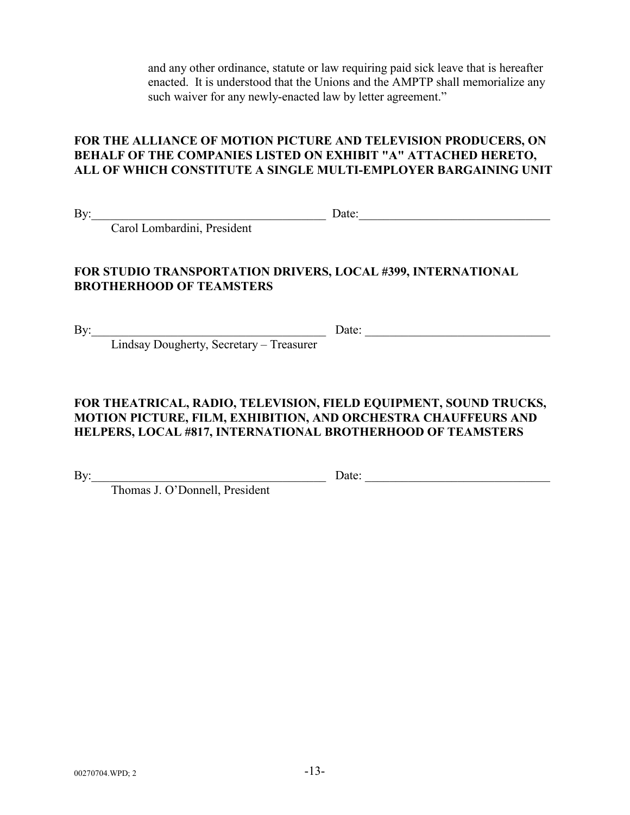and any other ordinance, statute or law requiring paid sick leave that is hereafter enacted. It is understood that the Unions and the AMPTP shall memorialize any such waiver for any newly-enacted law by letter agreement."

#### **FOR THE ALLIANCE OF MOTION PICTURE AND TELEVISION PRODUCERS, ON BEHALF OF THE COMPANIES LISTED ON EXHIBIT "A" ATTACHED HERETO, ALL OF WHICH CONSTITUTE A SINGLE MULTI-EMPLOYER BARGAINING UNIT**

By:  $\Box$ 

Carol Lombardini, President

## **FOR STUDIO TRANSPORTATION DRIVERS, LOCAL #399, INTERNATIONAL BROTHERHOOD OF TEAMSTERS**

By:  $\Box$ 

Lindsay Dougherty, Secretary – Treasurer

### **FOR THEATRICAL, RADIO, TELEVISION, FIELD EQUIPMENT, SOUND TRUCKS, MOTION PICTURE, FILM, EXHIBITION, AND ORCHESTRA CHAUFFEURS AND HELPERS, LOCAL #817, INTERNATIONAL BROTHERHOOD OF TEAMSTERS**

Thomas J. O'Donnell, President

By:  $\Box$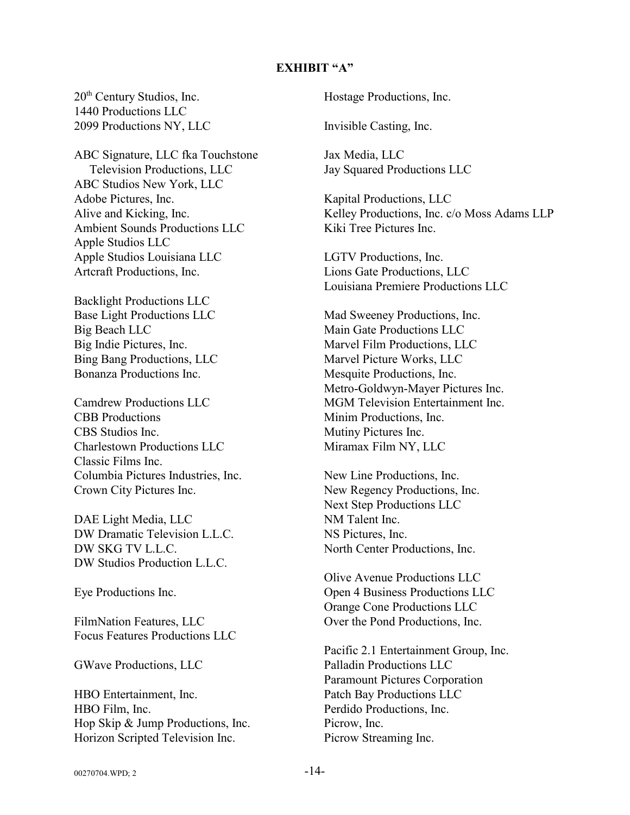#### **EXHIBIT "A"**

20th Century Studios, Inc. 1440 Productions LLC 2099 Productions NY, LLC

ABC Signature, LLC fka Touchstone Television Productions, LLC ABC Studios New York, LLC Adobe Pictures, Inc. Alive and Kicking, Inc. Ambient Sounds Productions LLC Apple Studios LLC Apple Studios Louisiana LLC Artcraft Productions, Inc.

Backlight Productions LLC Base Light Productions LLC Big Beach LLC Big Indie Pictures, Inc. Bing Bang Productions, LLC Bonanza Productions Inc.

Camdrew Productions LLC CBB Productions CBS Studios Inc. Charlestown Productions LLC Classic Films Inc. Columbia Pictures Industries, Inc. Crown City Pictures Inc.

DAE Light Media, LLC DW Dramatic Television L.L.C. DW SKG TV L.L.C. DW Studios Production L.L.C.

Eye Productions Inc.

FilmNation Features, LLC Focus Features Productions LLC

GWave Productions, LLC

HBO Entertainment, Inc. HBO Film, Inc. Hop Skip & Jump Productions, Inc. Horizon Scripted Television Inc.

Hostage Productions, Inc.

Invisible Casting, Inc.

Jax Media, LLC Jay Squared Productions LLC

Kapital Productions, LLC Kelley Productions, Inc. c/o Moss Adams LLP Kiki Tree Pictures Inc.

LGTV Productions, Inc. Lions Gate Productions, LLC Louisiana Premiere Productions LLC

Mad Sweeney Productions, Inc. Main Gate Productions LLC Marvel Film Productions, LLC Marvel Picture Works, LLC Mesquite Productions, Inc. Metro-Goldwyn-Mayer Pictures Inc. MGM Television Entertainment Inc. Minim Productions, Inc. Mutiny Pictures Inc. Miramax Film NY, LLC

New Line Productions, Inc. New Regency Productions, Inc. Next Step Productions LLC NM Talent Inc. NS Pictures, Inc. North Center Productions, Inc.

Olive Avenue Productions LLC Open 4 Business Productions LLC Orange Cone Productions LLC Over the Pond Productions, Inc.

Pacific 2.1 Entertainment Group, Inc. Palladin Productions LLC Paramount Pictures Corporation Patch Bay Productions LLC Perdido Productions, Inc. Picrow, Inc. Picrow Streaming Inc.